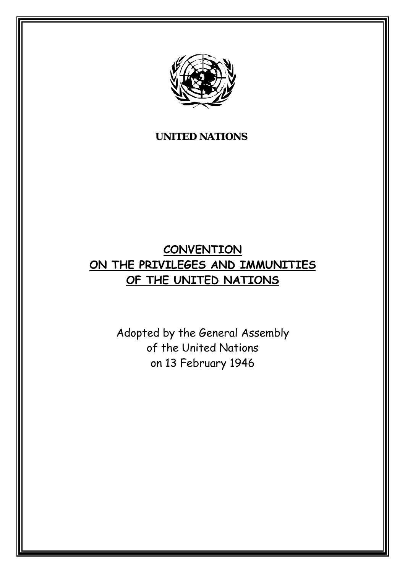

## **UNITED NATIONS**

# **CONVENTION ON THE PRIVILEGES AND IMMUNITIES OF THE UNITED NATIONS**

Adopted by the General Assembly of the United Nations on 13 February 1946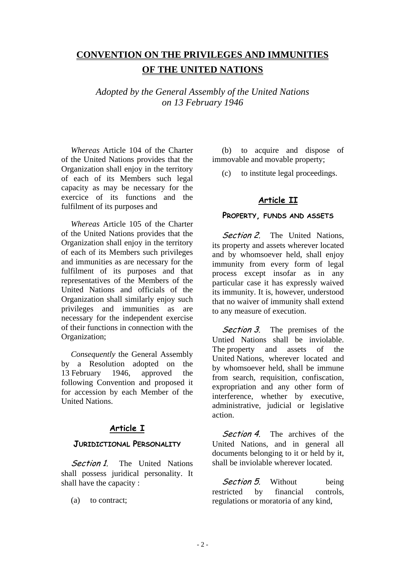## **CONVENTION ON THE PRIVILEGES AND IMMUNITIES OF THE UNITED NATIONS**

*Adopted by the General Assembly of the United Nations on 13 February 1946* 

*Whereas* Article 104 of the Charter of the United Nations provides that the Organization shall enjoy in the territory of each of its Members such legal capacity as may be necessary for the exercice of its functions and the fulfilment of its purposes and

*Whereas* Article 105 of the Charter of the United Nations provides that the Organization shall enjoy in the territory of each of its Members such privileges and immunities as are necessary for the fulfilment of its purposes and that representatives of the Members of the United Nations and officials of the Organization shall similarly enjoy such privileges and immunities as are necessary for the independent exercise of their functions in connection with the Organization;

*Consequently* the General Assembly by a Resolution adopted on the 13 February 1946, approved the following Convention and proposed it for accession by each Member of the United Nations.

#### **Article I**

#### **JURIDICTIONAL PERSONALITY**

Section 1. The United Nations shall possess juridical personality. It shall have the capacity :

(a) to contract;

(b) to acquire and dispose of immovable and movable property;

(c) to institute legal proceedings.

#### **Article II**

#### **PROPERTY, FUNDS AND ASSETS**

Section 2. The United Nations. its property and assets wherever located and by whomsoever held, shall enjoy immunity from every form of legal process except insofar as in any particular case it has expressly waived its immunity. It is, however, understood that no waiver of immunity shall extend to any measure of execution.

Section 3. The premises of the Untied Nations shall be inviolable. The property and assets of the United Nations, wherever located and by whomsoever held, shall be immune from search, requisition, confiscation, expropriation and any other form of interference, whether by executive, administrative, judicial or legislative action.

Section 4. The archives of the United Nations, and in general all documents belonging to it or held by it, shall be inviolable wherever located.

Section 5. Without being restricted by financial controls, regulations or moratoria of any kind,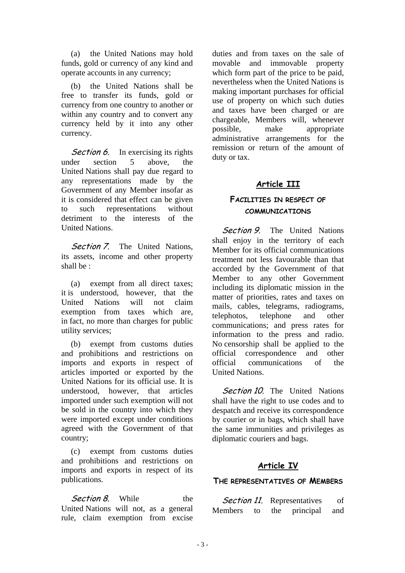(a) the United Nations may hold funds, gold or currency of any kind and operate accounts in any currency;

(b) the United Nations shall be free to transfer its funds, gold or currency from one country to another or within any country and to convert any currency held by it into any other currency.

Section 6. In exercising its rights under section 5 above, the United Nations shall pay due regard to any representations made by the Government of any Member insofar as it is considered that effect can be given to such representations without detriment to the interests of the United Nations.

Section 7. The United Nations, its assets, income and other property shall be :

(a) exempt from all direct taxes; it is understood, however, that the United Nations will not claim exemption from taxes which are in fact, no more than charges for public utility services;

(b) exempt from customs duties and prohibitions and restrictions on imports and exports in respect of articles imported or exported by the United Nations for its official use. It is understood, however, that articles imported under such exemption will not be sold in the country into which they were imported except under conditions agreed with the Government of that country;

(c) exempt from customs duties and prohibitions and restrictions on imports and exports in respect of its publications.

 $Section 8$  While the United Nations will not, as a general rule, claim exemption from excise duties and from taxes on the sale of movable and immovable property which form part of the price to be paid, nevertheless when the United Nations is making important purchases for official use of property on which such duties and taxes have been charged or are chargeable, Members will, whenever possible, make appropriate administrative arrangements for the remission or return of the amount of duty or tax.

#### **Article III**

#### **FACILITIES IN RESPECT OF COMMUNICATIONS**

Section 9. The United Nations shall enjoy in the territory of each Member for its official communications treatment not less favourable than that accorded by the Government of that Member to any other Government including its diplomatic mission in the matter of priorities, rates and taxes on mails, cables, telegrams, radiograms, telephotos, telephone and other communications; and press rates for information to the press and radio. No censorship shall be applied to the official correspondence and other official communications of the United Nations.

Section 10. The United Nations shall have the right to use codes and to despatch and receive its correspondence by courier or in bags, which shall have the same immunities and privileges as diplomatic couriers and bags.

#### **Article IV**

#### **THE REPRESENTATIVES OF MEMBERS**

**Section 11.** Representatives of Members to the principal and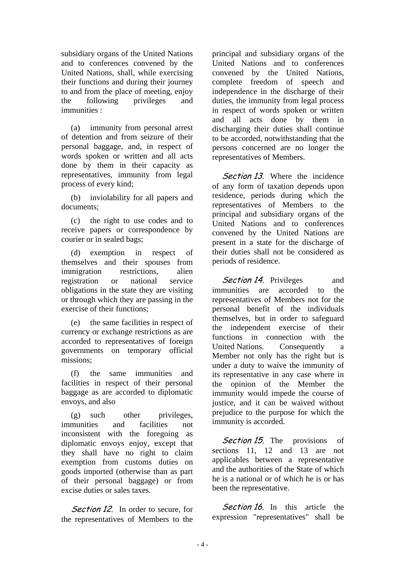subsidiary organs of the United Nations and to conferences convened by the United Nations, shall, while exercising their functions and during their journey to and from the place of meeting, enjoy the following privileges and immunities :

(a) immunity from personal arrest of detention and from seizure of their personal baggage, and, in respect of words spoken or written and all acts done by them in their capacity as representatives, immunity from legal process of every kind;

(b) inviolability for all papers and documents;

(c) the right to use codes and to receive papers or correspondence by courier or in sealed bags;

(d) exemption in respect of themselves and their spouses from immigration restrictions, alien registration or national service obligations in the state they are visiting or through which they are passing in the exercise of their functions;

(e) the same facilities in respect of currency or exchange restrictions as are accorded to representatives of foreign governments on temporary official missions;

(f) the same immunities and facilities in respect of their personal baggage as are accorded to diplomatic envoys, and also

(g) such other privileges, immunities and facilities not inconsistent with the foregoing as diplomatic envoys enjoy, except that they shall have no right to claim exemption from customs duties on goods imported (otherwise than as part of their personal baggage) or from excise duties or sales taxes.

Section 12. In order to secure, for the representatives of Members to the principal and subsidiary organs of the United Nations and to conferences convened by the United Nations, complete freedom of speech and independence in the discharge of their duties, the immunity from legal process in respect of words spoken or written and all acts done by them in discharging their duties shall continue to be accorded, notwithstanding that the persons concerned are no longer the representatives of Members.

Section 13. Where the incidence of any form of taxation depends upon residence, periods during which the representatives of Members to the principal and subsidiary organs of the United Nations and to conferences convened by the United Nations are present in a state for the discharge of their duties shall not be considered as periods of residence.

Section 14. Privileges and immunities are accorded to the representatives of Members not for the personal benefit of the individuals themselves, but in order to safeguard the independent exercise of their functions in connection with the United Nations. Consequently a Member not only has the right but is under a duty to waive the immunity of its representative in any case where in the opinion of the Member the immunity would impede the course of justice, and it can be waived without prejudice to the purpose for which the immunity is accorded.

Section 15. The provisions of sections 11, 12 and 13 are not applicables between a representative and the authorities of the State of which he is a national or of which he is or has been the representative.

Section 16. In this article the expression "representatives" shall be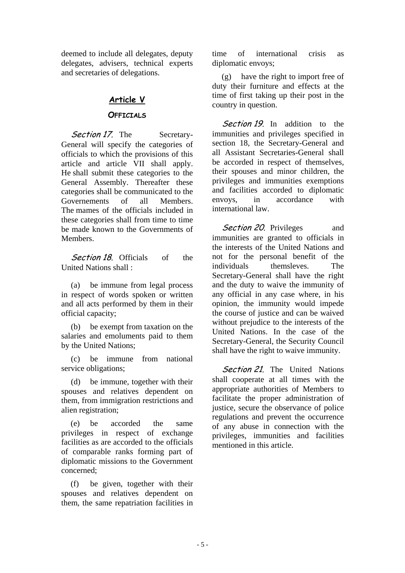deemed to include all delegates, deputy delegates, advisers, technical experts and secretaries of delegations.

# **Article V**

#### **OFFICIALS**

Section 17. The Secretary-General will specify the categories of officials to which the provisions of this article and article VII shall apply. He shall submit these categories to the General Assembly. Thereafter these categories shall be communicated to the Governements of all Members. The mames of the officials included in these categories shall from time to time be made known to the Governments of Members.

Section 18. Officials of the United Nations shall :

(a) be immune from legal process in respect of words spoken or written and all acts performed by them in their official capacity;

(b) be exempt from taxation on the salaries and emoluments paid to them by the United Nations;

(c) be immune from national service obligations;

(d) be immune, together with their spouses and relatives dependent on them, from immigration restrictions and alien registration;

(e) be accorded the same privileges in respect of exchange facilities as are accorded to the officials of comparable ranks forming part of diplomatic missions to the Government concerned;

(f) be given, together with their spouses and relatives dependent on them, the same repatriation facilities in time of international crisis as diplomatic envoys;

(g) have the right to import free of duty their furniture and effects at the time of first taking up their post in the country in question.

Section 19. In addition to the immunities and privileges specified in section 18, the Secretary-General and all Assistant Secretaries-General shall be accorded in respect of themselves, their spouses and minor children, the privileges and immunities exemptions and facilities accorded to diplomatic envoys, in accordance with international law.

Section 20. Privileges and immunities are granted to officials in the interests of the United Nations and not for the personal benefit of the individuals themsleves. The Secretary-General shall have the right and the duty to waive the immunity of any official in any case where, in his opinion, the immunity would impede the course of justice and can be waived without prejudice to the interests of the United Nations. In the case of the Secretary-General, the Security Council shall have the right to waive immunity.

Section 21. The United Nations shall cooperate at all times with the appropriate authorities of Members to facilitate the proper administration of justice, secure the observance of police regulations and prevent the occurrence of any abuse in connection with the privileges, immunities and facilities mentioned in this article.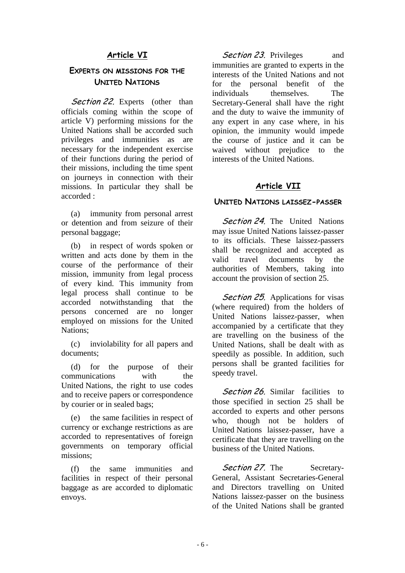#### **Article VI**

#### **EXPERTS ON MISSIONS FOR THE UNITED NATIONS**

Section 22. Experts (other than officials coming within the scope of article V) performing missions for the United Nations shall be accorded such privileges and immunities as are necessary for the independent exercise of their functions during the period of their missions, including the time spent on journeys in connection with their missions. In particular they shall be accorded :

(a) immunity from personal arrest or detention and from seizure of their personal baggage;

(b) in respect of words spoken or written and acts done by them in the course of the performance of their mission, immunity from legal process of every kind. This immunity from legal process shall continue to be accorded notwithstanding that the persons concerned are no longer employed on missions for the United Nations;

(c) inviolability for all papers and documents;

(d) for the purpose of their communications with United Nations, the right to use codes and to receive papers or correspondence by courier or in sealed bags;

(e) the same facilities in respect of currency or exchange restrictions as are accorded to representatives of foreign governments on temporary official missions;

(f) the same immunities and facilities in respect of their personal baggage as are accorded to diplomatic envoys.

Section 23. Privileges and immunities are granted to experts in the interests of the United Nations and not for the personal benefit of the individuals themselves. The Secretary-General shall have the right and the duty to waive the immunity of any expert in any case where, in his opinion, the immunity would impede the course of justice and it can be waived without prejudice to the interests of the United Nations.

#### **Article VII**

#### **UNITED NATIONS LAISSEZ-PASSER**

Section 24. The United Nations may issue United Nations laissez-passer to its officials. These laissez-passers shall be recognized and accepted as valid travel documents by the authorities of Members, taking into account the provision of section 25.

Section 25. Applications for visas (where required) from the holders of United Nations laissez-passer, when accompanied by a certificate that they are travelling on the business of the United Nations, shall be dealt with as speedily as possible. In addition, such persons shall be granted facilities for speedy travel.

Section 26. Similar facilities to those specified in section 25 shall be accorded to experts and other persons who, though not be holders of United Nations laissez-passer, have a certificate that they are travelling on the business of the United Nations.

Section 27. The Secretary-General, Assistant Secretaries-General and Directors travelling on United Nations laissez-passer on the business of the United Nations shall be granted